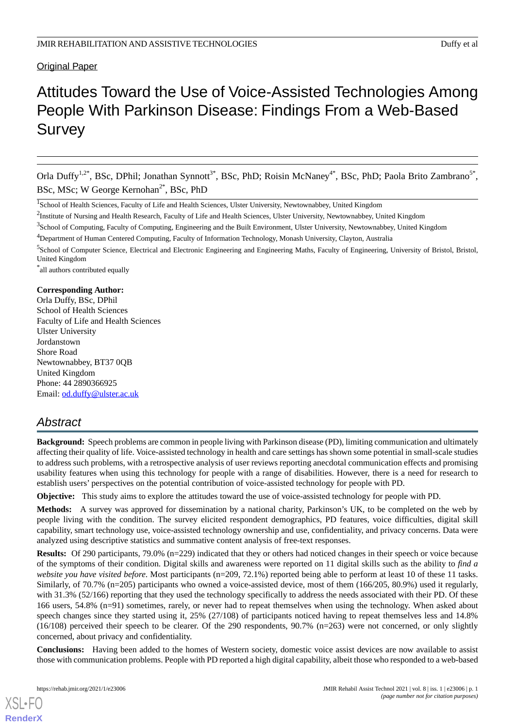# Original Paper

# Attitudes Toward the Use of Voice-Assisted Technologies Among People With Parkinson Disease: Findings From a Web-Based **Survey**

Orla Duffy<sup>1,2\*</sup>, BSc, DPhil; Jonathan Synnott<sup>3\*</sup>, BSc, PhD; Roisin McNaney<sup>4\*</sup>, BSc, PhD; Paola Brito Zambrano<sup>5\*</sup>, BSc, MSc; W George Kernohan<sup>2\*</sup>, BSc, PhD

 $^2$ Institute of Nursing and Health Research, Faculty of Life and Health Sciences, Ulster University, Newtownabbey, United Kingdom

<sup>3</sup>School of Computing, Faculty of Computing, Engineering and the Built Environment, Ulster University, Newtownabbey, United Kingdom

<sup>5</sup>School of Computer Science, Electrical and Electronic Engineering and Engineering Maths, Faculty of Engineering, University of Bristol, Bristol, United Kingdom

\* all authors contributed equally

# **Corresponding Author:**

Orla Duffy, BSc, DPhil School of Health Sciences Faculty of Life and Health Sciences Ulster University Jordanstown Shore Road Newtownabbey, BT37 0QB United Kingdom Phone: 44 2890366925 Email: [od.duffy@ulster.ac.uk](mailto:od.duffy@ulster.ac.uk)

# *Abstract*

**Background:** Speech problems are common in people living with Parkinson disease (PD), limiting communication and ultimately affecting their quality of life. Voice-assisted technology in health and care settings has shown some potential in small-scale studies to address such problems, with a retrospective analysis of user reviews reporting anecdotal communication effects and promising usability features when using this technology for people with a range of disabilities. However, there is a need for research to establish users' perspectives on the potential contribution of voice-assisted technology for people with PD.

**Objective:** This study aims to explore the attitudes toward the use of voice-assisted technology for people with PD.

**Methods:** A survey was approved for dissemination by a national charity, Parkinson's UK, to be completed on the web by people living with the condition. The survey elicited respondent demographics, PD features, voice difficulties, digital skill capability, smart technology use, voice-assisted technology ownership and use, confidentiality, and privacy concerns. Data were analyzed using descriptive statistics and summative content analysis of free-text responses.

**Results:** Of 290 participants, 79.0% (n=229) indicated that they or others had noticed changes in their speech or voice because of the symptoms of their condition. Digital skills and awareness were reported on 11 digital skills such as the ability to *find a website you have visited before*. Most participants (n=209, 72.1%) reported being able to perform at least 10 of these 11 tasks. Similarly, of 70.7% (n=205) participants who owned a voice-assisted device, most of them (166/205, 80.9%) used it regularly, with 31.3% (52/166) reporting that they used the technology specifically to address the needs associated with their PD. Of these 166 users, 54.8% (n=91) sometimes, rarely, or never had to repeat themselves when using the technology. When asked about speech changes since they started using it, 25% (27/108) of participants noticed having to repeat themselves less and 14.8% (16/108) perceived their speech to be clearer. Of the 290 respondents, 90.7% (n=263) were not concerned, or only slightly concerned, about privacy and confidentiality.

**Conclusions:** Having been added to the homes of Western society, domestic voice assist devices are now available to assist those with communication problems. People with PD reported a high digital capability, albeit those who responded to a web-based

<sup>&</sup>lt;sup>1</sup>School of Health Sciences, Faculty of Life and Health Sciences, Ulster University, Newtownabbey, United Kingdom

<sup>4</sup>Department of Human Centered Computing, Faculty of Information Technology, Monash University, Clayton, Australia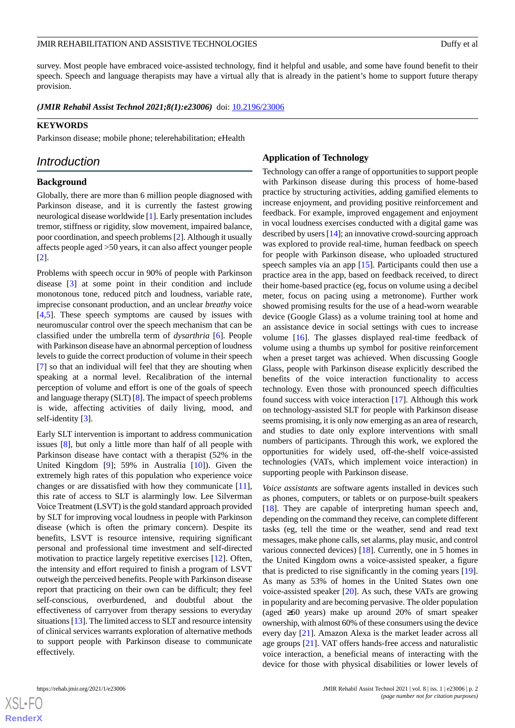survey. Most people have embraced voice-assisted technology, find it helpful and usable, and some have found benefit to their speech. Speech and language therapists may have a virtual ally that is already in the patient's home to support future therapy provision.

*(JMIR Rehabil Assist Technol 2021;8(1):e23006)* doi: [10.2196/23006](http://dx.doi.org/10.2196/23006)

#### **KEYWORDS**

Parkinson disease; mobile phone; telerehabilitation; eHealth

# *Introduction*

### **Background**

Globally, there are more than 6 million people diagnosed with Parkinson disease, and it is currently the fastest growing neurological disease worldwide [\[1](#page-9-0)]. Early presentation includes tremor, stiffness or rigidity, slow movement, impaired balance, poor coordination, and speech problems [[2\]](#page-9-1). Although it usually affects people aged >50 years, it can also affect younger people [[2\]](#page-9-1).

Problems with speech occur in 90% of people with Parkinson disease [\[3\]](#page-9-2) at some point in their condition and include monotonous tone, reduced pitch and loudness, variable rate, imprecise consonant production, and an unclear *breathy* voice [[4](#page-9-3)[,5](#page-9-4)]. These speech symptoms are caused by issues with neuromuscular control over the speech mechanism that can be classified under the umbrella term of *dysarthria* [[6\]](#page-10-0). People with Parkinson disease have an abnormal perception of loudness levels to guide the correct production of volume in their speech [[7\]](#page-10-1) so that an individual will feel that they are shouting when speaking at a normal level. Recalibration of the internal perception of volume and effort is one of the goals of speech and language therapy (SLT) [[8\]](#page-10-2). The impact of speech problems is wide, affecting activities of daily living, mood, and self-identity [[3\]](#page-9-2).

Early SLT intervention is important to address communication issues [\[8](#page-10-2)], but only a little more than half of all people with Parkinson disease have contact with a therapist (52% in the United Kingdom [[9\]](#page-10-3); 59% in Australia [\[10](#page-10-4)]). Given the extremely high rates of this population who experience voice changes or are dissatisfied with how they communicate [[11\]](#page-10-5), this rate of access to SLT is alarmingly low. Lee Silverman Voice Treatment (LSVT) is the gold standard approach provided by SLT for improving vocal loudness in people with Parkinson disease (which is often the primary concern). Despite its benefits, LSVT is resource intensive, requiring significant personal and professional time investment and self-directed motivation to practice largely repetitive exercises [[12\]](#page-10-6). Often, the intensity and effort required to finish a program of LSVT outweigh the perceived benefits. People with Parkinson disease report that practicing on their own can be difficult; they feel self-conscious, overburdened, and doubtful about the effectiveness of carryover from therapy sessions to everyday situations [[13\]](#page-10-7). The limited access to SLT and resource intensity of clinical services warrants exploration of alternative methods to support people with Parkinson disease to communicate effectively.

# **Application of Technology**

Technology can offer a range of opportunities to support people with Parkinson disease during this process of home-based practice by structuring activities, adding gamified elements to increase enjoyment, and providing positive reinforcement and feedback. For example, improved engagement and enjoyment in vocal loudness exercises conducted with a digital game was described by users [[14\]](#page-10-8); an innovative crowd-sourcing approach was explored to provide real-time, human feedback on speech for people with Parkinson disease, who uploaded structured speech samples via an app [[15\]](#page-10-9). Participants could then use a practice area in the app, based on feedback received, to direct their home-based practice (eg, focus on volume using a decibel meter, focus on pacing using a metronome). Further work showed promising results for the use of a head-worn wearable device (Google Glass) as a volume training tool at home and an assistance device in social settings with cues to increase volume [\[16](#page-10-10)]. The glasses displayed real-time feedback of volume using a thumbs up symbol for positive reinforcement when a preset target was achieved. When discussing Google Glass, people with Parkinson disease explicitly described the benefits of the voice interaction functionality to access technology. Even those with pronounced speech difficulties found success with voice interaction [\[17](#page-10-11)]. Although this work on technology-assisted SLT for people with Parkinson disease seems promising, it is only now emerging as an area of research, and studies to date only explore interventions with small numbers of participants. Through this work, we explored the opportunities for widely used, off-the-shelf voice-assisted technologies (VATs, which implement voice interaction) in supporting people with Parkinson disease.

*Voice assistants* are software agents installed in devices such as phones, computers, or tablets or on purpose-built speakers [[18\]](#page-10-12). They are capable of interpreting human speech and, depending on the command they receive, can complete different tasks (eg, tell the time or the weather, send and read text messages, make phone calls, set alarms, play music, and control various connected devices) [\[18](#page-10-12)]. Currently, one in 5 homes in the United Kingdom owns a voice-assisted speaker, a figure that is predicted to rise significantly in the coming years [[19\]](#page-10-13). As many as 53% of homes in the United States own one voice-assisted speaker [\[20](#page-10-14)]. As such, these VATs are growing in popularity and are becoming pervasive. The older population (aged ≥60 years) make up around 20% of smart speaker ownership, with almost 60% of these consumers using the device every day [\[21](#page-10-15)]. Amazon Alexa is the market leader across all age groups [\[21](#page-10-15)]. VAT offers hands-free access and naturalistic voice interaction, a beneficial means of interacting with the device for those with physical disabilities or lower levels of

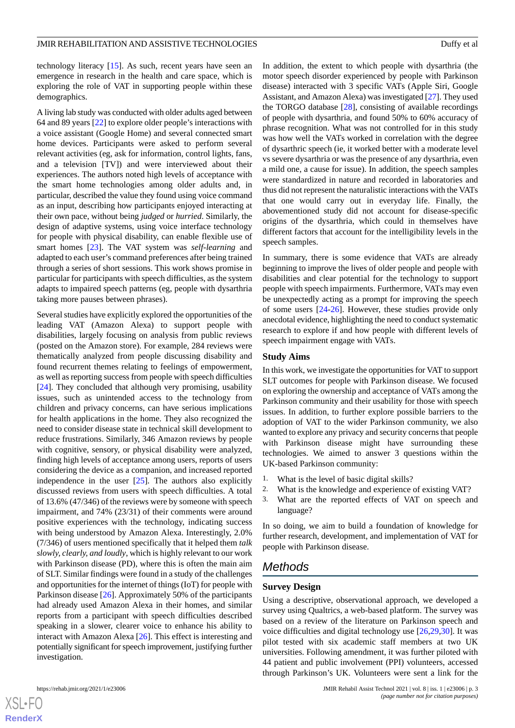technology literacy [\[15](#page-10-9)]. As such, recent years have seen an emergence in research in the health and care space, which is exploring the role of VAT in supporting people within these demographics.

A living lab study was conducted with older adults aged between 64 and 89 years [[22\]](#page-10-16) to explore older people's interactions with a voice assistant (Google Home) and several connected smart home devices. Participants were asked to perform several relevant activities (eg, ask for information, control lights, fans, and a television [TV]) and were interviewed about their experiences. The authors noted high levels of acceptance with the smart home technologies among older adults and, in particular, described the value they found using voice command as an input, describing how participants enjoyed interacting at their own pace, without being *judged* or *hurried*. Similarly, the design of adaptive systems, using voice interface technology for people with physical disability, can enable flexible use of smart homes [[23\]](#page-10-17). The VAT system was *self-learning* and adapted to each user's command preferences after being trained through a series of short sessions. This work shows promise in particular for participants with speech difficulties, as the system adapts to impaired speech patterns (eg, people with dysarthria taking more pauses between phrases).

Several studies have explicitly explored the opportunities of the leading VAT (Amazon Alexa) to support people with disabilities, largely focusing on analysis from public reviews (posted on the Amazon store). For example, 284 reviews were thematically analyzed from people discussing disability and found recurrent themes relating to feelings of empowerment, as well as reporting success from people with speech difficulties [[24\]](#page-10-18). They concluded that although very promising, usability issues, such as unintended access to the technology from children and privacy concerns, can have serious implications for health applications in the home. They also recognized the need to consider disease state in technical skill development to reduce frustrations. Similarly, 346 Amazon reviews by people with cognitive, sensory, or physical disability were analyzed, finding high levels of acceptance among users, reports of users considering the device as a companion, and increased reported independence in the user  $[25]$  $[25]$ . The authors also explicitly discussed reviews from users with speech difficulties. A total of 13.6% (47/346) of the reviews were by someone with speech impairment, and 74% (23/31) of their comments were around positive experiences with the technology, indicating success with being understood by Amazon Alexa. Interestingly, 2.0% (7/346) of users mentioned specifically that it helped them *talk slowly, clearly, and loudly*, which is highly relevant to our work with Parkinson disease (PD), where this is often the main aim of SLT. Similar findings were found in a study of the challenges and opportunities for the internet of things (IoT) for people with Parkinson disease [[26\]](#page-11-0). Approximately 50% of the participants had already used Amazon Alexa in their homes, and similar reports from a participant with speech difficulties described speaking in a slower, clearer voice to enhance his ability to interact with Amazon Alexa [\[26](#page-11-0)]. This effect is interesting and potentially significant for speech improvement, justifying further investigation.

 $XS$  • FC **[RenderX](http://www.renderx.com/)** In addition, the extent to which people with dysarthria (the motor speech disorder experienced by people with Parkinson disease) interacted with 3 specific VATs (Apple Siri, Google Assistant, and Amazon Alexa) was investigated [[27\]](#page-11-1). They used the TORGO database [\[28](#page-11-2)], consisting of available recordings of people with dysarthria, and found 50% to 60% accuracy of phrase recognition. What was not controlled for in this study was how well the VATs worked in correlation with the degree of dysarthric speech (ie, it worked better with a moderate level vs severe dysarthria or was the presence of any dysarthria, even a mild one, a cause for issue). In addition, the speech samples were standardized in nature and recorded in laboratories and thus did not represent the naturalistic interactions with the VATs that one would carry out in everyday life. Finally, the abovementioned study did not account for disease-specific origins of the dysarthria, which could in themselves have different factors that account for the intelligibility levels in the speech samples.

In summary, there is some evidence that VATs are already beginning to improve the lives of older people and people with disabilities and clear potential for the technology to support people with speech impairments. Furthermore, VATs may even be unexpectedly acting as a prompt for improving the speech of some users [[24](#page-10-18)[-26](#page-11-0)]. However, these studies provide only anecdotal evidence, highlighting the need to conduct systematic research to explore if and how people with different levels of speech impairment engage with VATs.

# **Study Aims**

In this work, we investigate the opportunities for VAT to support SLT outcomes for people with Parkinson disease. We focused on exploring the ownership and acceptance of VATs among the Parkinson community and their usability for those with speech issues. In addition, to further explore possible barriers to the adoption of VAT to the wider Parkinson community, we also wanted to explore any privacy and security concerns that people with Parkinson disease might have surrounding these technologies. We aimed to answer 3 questions within the UK-based Parkinson community:

- 1. What is the level of basic digital skills?
- 2. What is the knowledge and experience of existing VAT?
- 3. What are the reported effects of VAT on speech and language?

In so doing, we aim to build a foundation of knowledge for further research, development, and implementation of VAT for people with Parkinson disease.

# *Methods*

#### **Survey Design**

Using a descriptive, observational approach, we developed a survey using Qualtrics, a web-based platform. The survey was based on a review of the literature on Parkinson speech and voice difficulties and digital technology use [\[26](#page-11-0),[29,](#page-11-3)[30](#page-11-4)]. It was pilot tested with six academic staff members at two UK universities. Following amendment, it was further piloted with 44 patient and public involvement (PPI) volunteers, accessed through Parkinson's UK. Volunteers were sent a link for the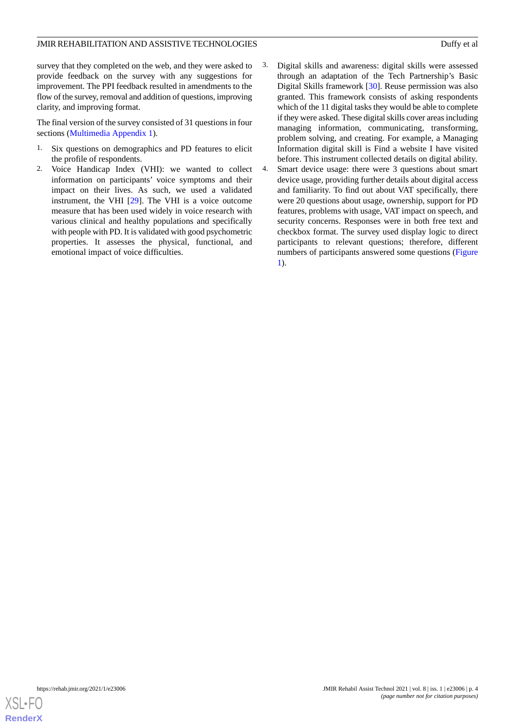survey that they completed on the web, and they were asked to provide feedback on the survey with any suggestions for improvement. The PPI feedback resulted in amendments to the flow of the survey, removal and addition of questions, improving clarity, and improving format.

The final version of the survey consisted of 31 questions in four sections ([Multimedia Appendix 1\)](#page-9-5).

- 1. Six questions on demographics and PD features to elicit the profile of respondents.
- 2. Voice Handicap Index (VHI): we wanted to collect information on participants' voice symptoms and their impact on their lives. As such, we used a validated instrument, the VHI [[29\]](#page-11-3). The VHI is a voice outcome measure that has been used widely in voice research with various clinical and healthy populations and specifically with people with PD. It is validated with good psychometric properties. It assesses the physical, functional, and emotional impact of voice difficulties.
- 3. Digital skills and awareness: digital skills were assessed through an adaptation of the Tech Partnership's Basic Digital Skills framework [\[30](#page-11-4)]. Reuse permission was also granted. This framework consists of asking respondents which of the 11 digital tasks they would be able to complete if they were asked. These digital skills cover areas including managing information, communicating, transforming, problem solving, and creating. For example, a Managing Information digital skill is Find a website I have visited before. This instrument collected details on digital ability.
- 4. Smart device usage: there were 3 questions about smart device usage, providing further details about digital access and familiarity. To find out about VAT specifically, there were 20 questions about usage, ownership, support for PD features, problems with usage, VAT impact on speech, and security concerns. Responses were in both free text and checkbox format. The survey used display logic to direct participants to relevant questions; therefore, different numbers of participants answered some questions ([Figure](#page-4-0) [1\)](#page-4-0).

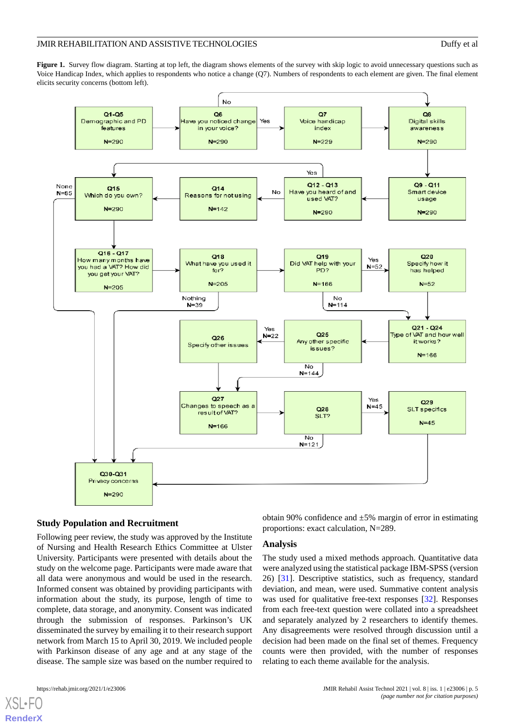<span id="page-4-0"></span>Figure 1. Survey flow diagram. Starting at top left, the diagram shows elements of the survey with skip logic to avoid unnecessary questions such as Voice Handicap Index, which applies to respondents who notice a change (Q7). Numbers of respondents to each element are given. The final element elicits security concerns (bottom left).



# **Study Population and Recruitment**

Following peer review, the study was approved by the Institute of Nursing and Health Research Ethics Committee at Ulster University. Participants were presented with details about the study on the welcome page. Participants were made aware that all data were anonymous and would be used in the research. Informed consent was obtained by providing participants with information about the study, its purpose, length of time to complete, data storage, and anonymity. Consent was indicated through the submission of responses. Parkinson's UK disseminated the survey by emailing it to their research support network from March 15 to April 30, 2019. We included people with Parkinson disease of any age and at any stage of the disease. The sample size was based on the number required to

[XSL](http://www.w3.org/Style/XSL)•FO **[RenderX](http://www.renderx.com/)**

obtain 90% confidence and  $\pm 5\%$  margin of error in estimating proportions: exact calculation, N=289.

#### **Analysis**

The study used a mixed methods approach. Quantitative data were analyzed using the statistical package IBM-SPSS (version 26) [[31\]](#page-11-5). Descriptive statistics, such as frequency, standard deviation, and mean, were used. Summative content analysis was used for qualitative free-text responses [[32\]](#page-11-6). Responses from each free-text question were collated into a spreadsheet and separately analyzed by 2 researchers to identify themes. Any disagreements were resolved through discussion until a decision had been made on the final set of themes. Frequency counts were then provided, with the number of responses relating to each theme available for the analysis.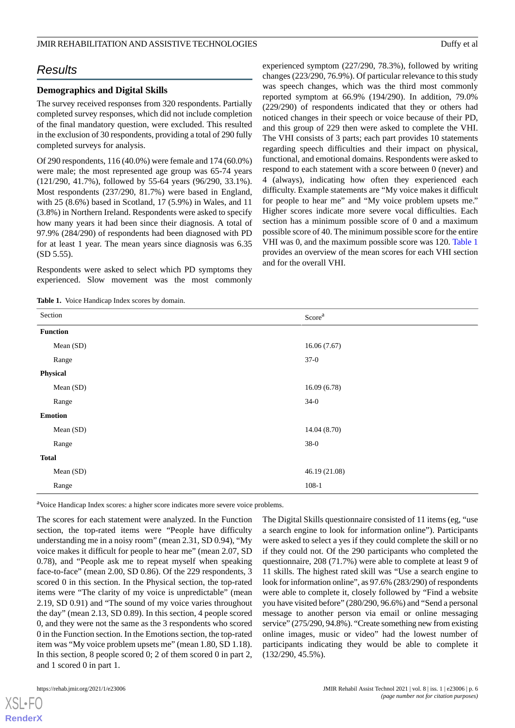# *Results*

# **Demographics and Digital Skills**

The survey received responses from 320 respondents. Partially completed survey responses, which did not include completion of the final mandatory question, were excluded. This resulted in the exclusion of 30 respondents, providing a total of 290 fully completed surveys for analysis.

Of 290 respondents, 116 (40.0%) were female and 174 (60.0%) were male; the most represented age group was 65-74 years (121/290, 41.7%), followed by 55-64 years (96/290, 33.1%). Most respondents (237/290, 81.7%) were based in England, with 25 (8.6%) based in Scotland, 17 (5.9%) in Wales, and 11 (3.8%) in Northern Ireland. Respondents were asked to specify how many years it had been since their diagnosis. A total of 97.9% (284/290) of respondents had been diagnosed with PD for at least 1 year. The mean years since diagnosis was 6.35 (SD 5.55).

<span id="page-5-0"></span>Respondents were asked to select which PD symptoms they experienced. Slow movement was the most commonly

**Table 1.** Voice Handicap Index scores by domain.

experienced symptom (227/290, 78.3%), followed by writing changes (223/290, 76.9%). Of particular relevance to this study was speech changes, which was the third most commonly reported symptom at 66.9% (194/290). In addition, 79.0% (229/290) of respondents indicated that they or others had noticed changes in their speech or voice because of their PD, and this group of 229 then were asked to complete the VHI. The VHI consists of 3 parts; each part provides 10 statements regarding speech difficulties and their impact on physical, functional, and emotional domains. Respondents were asked to respond to each statement with a score between 0 (never) and 4 (always), indicating how often they experienced each difficulty. Example statements are "My voice makes it difficult for people to hear me" and "My voice problem upsets me." Higher scores indicate more severe vocal difficulties. Each section has a minimum possible score of 0 and a maximum possible score of 40. The minimum possible score for the entire VHI was 0, and the maximum possible score was 120. [Table 1](#page-5-0) provides an overview of the mean scores for each VHI section and for the overall VHI.

| Section         | Score <sup>a</sup> |  |
|-----------------|--------------------|--|
| <b>Function</b> |                    |  |
| Mean (SD)       | 16.06(7.67)        |  |
| Range           | $37-0$             |  |
| Physical        |                    |  |
| Mean (SD)       | 16.09(6.78)        |  |
| Range           | $34-0$             |  |
| <b>Emotion</b>  |                    |  |
| Mean (SD)       | 14.04 (8.70)       |  |
| Range           | $38-0$             |  |
| <b>Total</b>    |                    |  |
| Mean (SD)       | 46.19 (21.08)      |  |
| Range           | $108-1$            |  |

<sup>a</sup>Voice Handicap Index scores: a higher score indicates more severe voice problems.

The scores for each statement were analyzed. In the Function section, the top-rated items were "People have difficulty understanding me in a noisy room" (mean 2.31, SD 0.94), "My voice makes it difficult for people to hear me" (mean 2.07, SD 0.78), and "People ask me to repeat myself when speaking face-to-face" (mean 2.00, SD 0.86). Of the 229 respondents, 3 scored 0 in this section. In the Physical section, the top-rated items were "The clarity of my voice is unpredictable" (mean 2.19, SD 0.91) and "The sound of my voice varies throughout the day" (mean 2.13, SD 0.89). In this section, 4 people scored 0, and they were not the same as the 3 respondents who scored 0 in the Function section. In the Emotions section, the top-rated item was "My voice problem upsets me" (mean 1.80, SD 1.18). In this section, 8 people scored 0; 2 of them scored 0 in part 2, and 1 scored 0 in part 1.

[XSL](http://www.w3.org/Style/XSL)•FO **[RenderX](http://www.renderx.com/)**

The Digital Skills questionnaire consisted of 11 items (eg, "use a search engine to look for information online"). Participants were asked to select a yes if they could complete the skill or no if they could not. Of the 290 participants who completed the questionnaire, 208 (71.7%) were able to complete at least 9 of 11 skills. The highest rated skill was "Use a search engine to look for information online", as 97.6% (283/290) of respondents were able to complete it, closely followed by "Find a website you have visited before" (280/290, 96.6%) and "Send a personal message to another person via email or online messaging service" (275/290, 94.8%). "Create something new from existing online images, music or video" had the lowest number of participants indicating they would be able to complete it (132/290, 45.5%).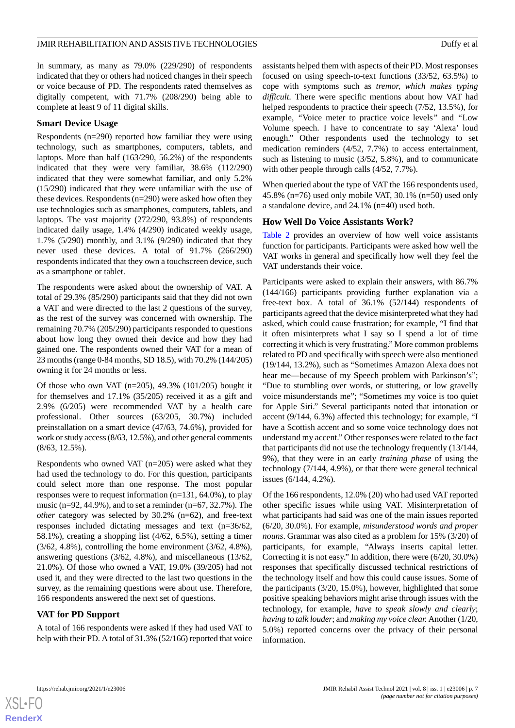In summary, as many as 79.0% (229/290) of respondents indicated that they or others had noticed changes in their speech or voice because of PD. The respondents rated themselves as digitally competent, with 71.7% (208/290) being able to complete at least 9 of 11 digital skills.

# **Smart Device Usage**

Respondents (n=290) reported how familiar they were using technology, such as smartphones, computers, tablets, and laptops. More than half (163/290, 56.2%) of the respondents indicated that they were very familiar, 38.6% (112/290) indicated that they were somewhat familiar, and only 5.2% (15/290) indicated that they were unfamiliar with the use of these devices. Respondents (n=290) were asked how often they use technologies such as smartphones, computers, tablets, and laptops. The vast majority (272/290, 93.8%) of respondents indicated daily usage, 1.4% (4/290) indicated weekly usage, 1.7% (5/290) monthly, and 3.1% (9/290) indicated that they never used these devices. A total of 91.7% (266/290) respondents indicated that they own a touchscreen device, such as a smartphone or tablet.

The respondents were asked about the ownership of VAT. A total of 29.3% (85/290) participants said that they did not own a VAT and were directed to the last 2 questions of the survey, as the rest of the survey was concerned with ownership. The remaining 70.7% (205/290) participants responded to questions about how long they owned their device and how they had gained one. The respondents owned their VAT for a mean of 23 months (range 0-84 months, SD 18.5), with 70.2% (144/205) owning it for 24 months or less.

Of those who own VAT  $(n=205)$ , 49.3% (101/205) bought it for themselves and 17.1% (35/205) received it as a gift and 2.9% (6/205) were recommended VAT by a health care professional. Other sources (63/205, 30.7%) included preinstallation on a smart device (47/63, 74.6%), provided for work or study access (8/63, 12.5%), and other general comments (8/63, 12.5%).

Respondents who owned VAT (n=205) were asked what they had used the technology to do. For this question, participants could select more than one response. The most popular responses were to request information (n=131, 64.0%), to play music (n=92, 44.9%), and to set a reminder (n=67, 32.7%). The *other* category was selected by 30.2% (n=62), and free-text responses included dictating messages and text (n=36/62, 58.1%), creating a shopping list (4/62, 6.5%), setting a timer (3/62, 4.8%), controlling the home environment (3/62, 4.8%), answering questions (3/62, 4.8%), and miscellaneous (13/62, 21.0%). Of those who owned a VAT, 19.0% (39/205) had not used it, and they were directed to the last two questions in the survey, as the remaining questions were about use. Therefore, 166 respondents answered the next set of questions.

# **VAT for PD Support**

A total of 166 respondents were asked if they had used VAT to help with their PD. A total of 31.3% (52/166) reported that voice assistants helped them with aspects of their PD. Most responses focused on using speech-to-text functions (33/52, 63.5%) to cope with symptoms such as *tremor, which makes typing difficult.* There were specific mentions about how VAT had helped respondents to practice their speech (7/52, 13.5%), for example, *"*Voice meter to practice voice levels*"* and *"*Low Volume speech. I have to concentrate to say 'Alexa' loud enough." Other respondents used the technology to set medication reminders (4/52, 7.7%) to access entertainment, such as listening to music (3/52, 5.8%), and to communicate with other people through calls (4/52, 7.7%).

When queried about the type of VAT the 166 respondents used, 45.8% (n=76) used only mobile VAT, 30.1% (n=50) used only a standalone device, and 24.1% (n=40) used both.

# **How Well Do Voice Assistants Work?**

[Table 2](#page-7-0) provides an overview of how well voice assistants function for participants. Participants were asked how well the VAT works in general and specifically how well they feel the VAT understands their voice.

Participants were asked to explain their answers, with 86.7% (144/166) participants providing further explanation via a free-text box. A total of 36.1% (52/144) respondents of participants agreed that the device misinterpreted what they had asked, which could cause frustration; for example, "I find that it often misinterprets what I say so I spend a lot of time correcting it which is very frustrating." More common problems related to PD and specifically with speech were also mentioned (19/144, 13.2%), such as "Sometimes Amazon Alexa does not hear me—because of my Speech problem with Parkinson's"; "Due to stumbling over words, or stuttering, or low gravelly voice misunderstands me"; "Sometimes my voice is too quiet for Apple Siri." Several participants noted that intonation or accent (9/144, 6.3%) affected this technology; for example, "I have a Scottish accent and so some voice technology does not understand my accent." Other responses were related to the fact that participants did not use the technology frequently (13/144, 9%), that they were in an early *training phase* of using the technology (7/144, 4.9%), or that there were general technical issues (6/144, 4.2%).

Of the 166 respondents, 12.0% (20) who had used VAT reported other specific issues while using VAT. Misinterpretation of what participants had said was one of the main issues reported (6/20, 30.0%). For example, *misunderstood words and proper nouns*. Grammar was also cited as a problem for 15% (3/20) of participants, for example, "Always inserts capital letter. Correcting it is not easy." In addition, there were (6/20, 30.0%) responses that specifically discussed technical restrictions of the technology itself and how this could cause issues. Some of the participants (3/20, 15.0%), however, highlighted that some positive speaking behaviors might arise through issues with the technology, for example, *have to speak slowly and clearly*; *having to talk louder*; and *making my voice clear.* Another (1/20, 5.0%) reported concerns over the privacy of their personal information.

```
XS\cdotFC
RenderX
```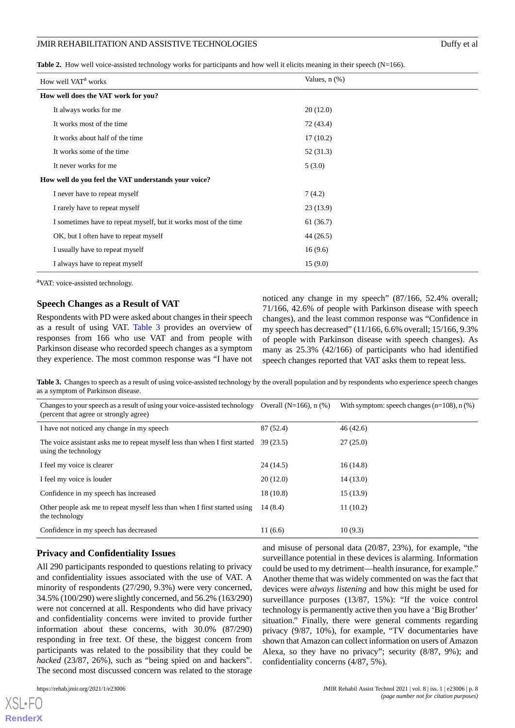<span id="page-7-0"></span>Table 2. How well voice-assisted technology works for participants and how well it elicits meaning in their speech (N=166).

| How well VAT <sup>a</sup> works                                  | Values, $n$ $(\%)$ |
|------------------------------------------------------------------|--------------------|
| How well does the VAT work for you?                              |                    |
| It always works for me                                           | 20(12.0)           |
| It works most of the time                                        | 72 (43.4)          |
| It works about half of the time                                  | 17(10.2)           |
| It works some of the time                                        | 52 (31.3)          |
| It never works for me                                            | 5(3.0)             |
| How well do you feel the VAT understands your voice?             |                    |
| I never have to repeat myself                                    | 7(4.2)             |
| I rarely have to repeat myself                                   | 23(13.9)           |
| I sometimes have to repeat myself, but it works most of the time | 61(36.7)           |
| OK, but I often have to repeat myself                            | 44 (26.5)          |
| I usually have to repeat myself                                  | 16(9.6)            |
| I always have to repeat myself                                   | 15(9.0)            |

<sup>a</sup>VAT: voice-assisted technology.

# **Speech Changes as a Result of VAT**

<span id="page-7-1"></span>Respondents with PD were asked about changes in their speech as a result of using VAT. [Table 3](#page-7-1) provides an overview of responses from 166 who use VAT and from people with Parkinson disease who recorded speech changes as a symptom they experience. The most common response was "I have not noticed any change in my speech" (87/166, 52.4% overall; 71/166, 42.6% of people with Parkinson disease with speech changes), and the least common response was "Confidence in my speech has decreased" (11/166, 6.6% overall; 15/166, 9.3% of people with Parkinson disease with speech changes). As many as 25.3% (42/166) of participants who had identified speech changes reported that VAT asks them to repeat less.

Table 3. Changes to speech as a result of using voice-assisted technology by the overall population and by respondents who experience speech changes as a symptom of Parkinson disease.

| Changes to your speech as a result of using your voice-assisted technology Overall ( $N=166$ ), n (%)<br>(percent that agree or strongly agree) |           | With symptom: speech changes $(n=108)$ , n $(\%)$ |
|-------------------------------------------------------------------------------------------------------------------------------------------------|-----------|---------------------------------------------------|
| I have not noticed any change in my speech                                                                                                      | 87 (52.4) | 46(42.6)                                          |
| The voice assistant asks me to repeat myself less than when I first started<br>using the technology                                             | 39(23.5)  | 27(25.0)                                          |
| I feel my voice is clearer                                                                                                                      | 24(14.5)  | 16(14.8)                                          |
| I feel my voice is louder                                                                                                                       | 20(12.0)  | 14(13.0)                                          |
| Confidence in my speech has increased                                                                                                           | 18(10.8)  | 15(13.9)                                          |
| Other people ask me to repeat myself less than when I first started using<br>the technology                                                     | 14(8.4)   | 11(10.2)                                          |
| Confidence in my speech has decreased                                                                                                           | 11(6.6)   | 10(9.3)                                           |

# **Privacy and Confidentiality Issues**

All 290 participants responded to questions relating to privacy and confidentiality issues associated with the use of VAT. A minority of respondents (27/290, 9.3%) were very concerned, 34.5% (100/290) were slightly concerned, and 56.2% (163/290) were not concerned at all. Respondents who did have privacy and confidentiality concerns were invited to provide further information about these concerns, with 30.0% (87/290) responding in free text. Of these, the biggest concern from participants was related to the possibility that they could be *hacked* (23/87, 26%), such as "being spied on and hackers". The second most discussed concern was related to the storage

[XSL](http://www.w3.org/Style/XSL)•FO **[RenderX](http://www.renderx.com/)**

and misuse of personal data (20/87, 23%), for example, "the surveillance potential in these devices is alarming. Information could be used to my detriment—health insurance, for example." Another theme that was widely commented on was the fact that devices were *always listening* and how this might be used for surveillance purposes (13/87, 15%): "If the voice control technology is permanently active then you have a 'Big Brother' situation." Finally, there were general comments regarding privacy (9/87, 10%), for example, "TV documentaries have shown that Amazon can collect information on users of Amazon Alexa, so they have no privacy"; security (8/87, 9%); and confidentiality concerns (4/87, 5%).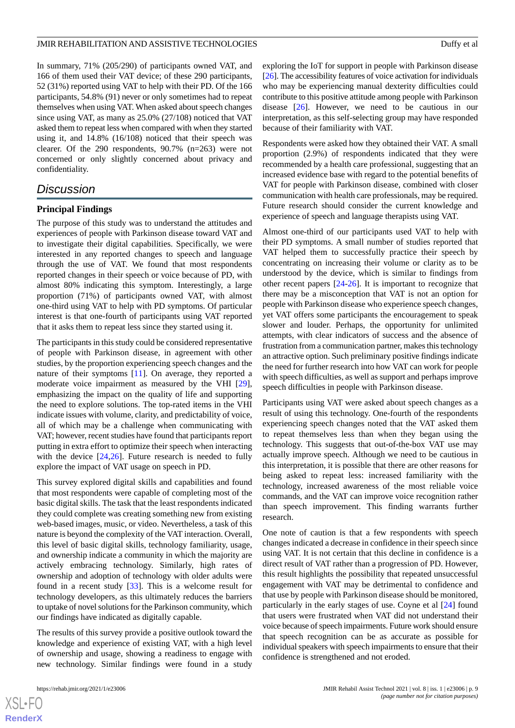In summary, 71% (205/290) of participants owned VAT, and 166 of them used their VAT device; of these 290 participants, 52 (31%) reported using VAT to help with their PD. Of the 166 participants, 54.8% (91) never or only sometimes had to repeat themselves when using VAT. When asked about speech changes since using VAT, as many as 25.0% (27/108) noticed that VAT asked them to repeat less when compared with when they started using it, and 14.8% (16/108) noticed that their speech was clearer. Of the 290 respondents, 90.7% (n=263) were not concerned or only slightly concerned about privacy and confidentiality.

# *Discussion*

# **Principal Findings**

The purpose of this study was to understand the attitudes and experiences of people with Parkinson disease toward VAT and to investigate their digital capabilities. Specifically, we were interested in any reported changes to speech and language through the use of VAT. We found that most respondents reported changes in their speech or voice because of PD, with almost 80% indicating this symptom. Interestingly, a large proportion (71%) of participants owned VAT, with almost one-third using VAT to help with PD symptoms. Of particular interest is that one-fourth of participants using VAT reported that it asks them to repeat less since they started using it.

The participants in this study could be considered representative of people with Parkinson disease, in agreement with other studies, by the proportion experiencing speech changes and the nature of their symptoms [\[11](#page-10-5)]. On average, they reported a moderate voice impairment as measured by the VHI [[29\]](#page-11-3), emphasizing the impact on the quality of life and supporting the need to explore solutions. The top-rated items in the VHI indicate issues with volume, clarity, and predictability of voice, all of which may be a challenge when communicating with VAT; however, recent studies have found that participants report putting in extra effort to optimize their speech when interacting with the device [\[24](#page-10-18),[26\]](#page-11-0). Future research is needed to fully explore the impact of VAT usage on speech in PD.

This survey explored digital skills and capabilities and found that most respondents were capable of completing most of the basic digital skills. The task that the least respondents indicated they could complete was creating something new from existing web-based images, music, or video. Nevertheless, a task of this nature is beyond the complexity of the VAT interaction. Overall, this level of basic digital skills, technology familiarity, usage, and ownership indicate a community in which the majority are actively embracing technology. Similarly, high rates of ownership and adoption of technology with older adults were found in a recent study [[33\]](#page-11-7). This is a welcome result for technology developers, as this ultimately reduces the barriers to uptake of novel solutions for the Parkinson community, which our findings have indicated as digitally capable.

The results of this survey provide a positive outlook toward the knowledge and experience of existing VAT, with a high level of ownership and usage, showing a readiness to engage with new technology. Similar findings were found in a study

 $XS$  $\cdot$ FC **[RenderX](http://www.renderx.com/)** exploring the IoT for support in people with Parkinson disease [[26\]](#page-11-0). The accessibility features of voice activation for individuals who may be experiencing manual dexterity difficulties could contribute to this positive attitude among people with Parkinson disease [[26\]](#page-11-0). However, we need to be cautious in our interpretation, as this self-selecting group may have responded because of their familiarity with VAT.

Respondents were asked how they obtained their VAT. A small proportion (2.9%) of respondents indicated that they were recommended by a health care professional, suggesting that an increased evidence base with regard to the potential benefits of VAT for people with Parkinson disease, combined with closer communication with health care professionals, may be required. Future research should consider the current knowledge and experience of speech and language therapists using VAT.

Almost one-third of our participants used VAT to help with their PD symptoms. A small number of studies reported that VAT helped them to successfully practice their speech by concentrating on increasing their volume or clarity as to be understood by the device, which is similar to findings from other recent papers [[24-](#page-10-18)[26](#page-11-0)]. It is important to recognize that there may be a misconception that VAT is not an option for people with Parkinson disease who experience speech changes, yet VAT offers some participants the encouragement to speak slower and louder. Perhaps, the opportunity for unlimited attempts, with clear indicators of success and the absence of frustration from a communication partner, makes this technology an attractive option. Such preliminary positive findings indicate the need for further research into how VAT can work for people with speech difficulties, as well as support and perhaps improve speech difficulties in people with Parkinson disease.

Participants using VAT were asked about speech changes as a result of using this technology. One-fourth of the respondents experiencing speech changes noted that the VAT asked them to repeat themselves less than when they began using the technology. This suggests that out-of-the-box VAT use may actually improve speech. Although we need to be cautious in this interpretation, it is possible that there are other reasons for being asked to repeat less: increased familiarity with the technology, increased awareness of the most reliable voice commands, and the VAT can improve voice recognition rather than speech improvement. This finding warrants further research.

One note of caution is that a few respondents with speech changes indicated a decrease in confidence in their speech since using VAT. It is not certain that this decline in confidence is a direct result of VAT rather than a progression of PD. However, this result highlights the possibility that repeated unsuccessful engagement with VAT may be detrimental to confidence and that use by people with Parkinson disease should be monitored, particularly in the early stages of use. Coyne et al [[24\]](#page-10-18) found that users were frustrated when VAT did not understand their voice because of speech impairments. Future work should ensure that speech recognition can be as accurate as possible for individual speakers with speech impairments to ensure that their confidence is strengthened and not eroded.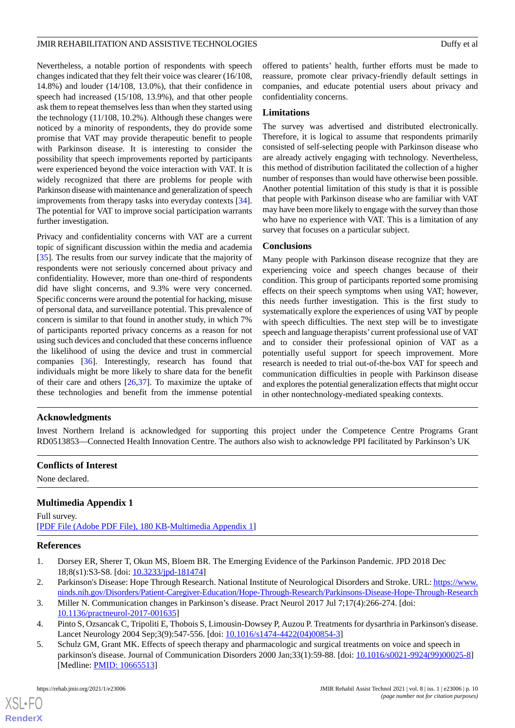Nevertheless, a notable portion of respondents with speech changes indicated that they felt their voice was clearer (16/108, 14.8%) and louder (14/108, 13.0%), that their confidence in speech had increased (15/108, 13.9%), and that other people ask them to repeat themselves less than when they started using the technology (11/108, 10.2%). Although these changes were noticed by a minority of respondents, they do provide some promise that VAT may provide therapeutic benefit to people with Parkinson disease. It is interesting to consider the possibility that speech improvements reported by participants were experienced beyond the voice interaction with VAT. It is widely recognized that there are problems for people with Parkinson disease with maintenance and generalization of speech improvements from therapy tasks into everyday contexts [[34\]](#page-11-8). The potential for VAT to improve social participation warrants further investigation.

Privacy and confidentiality concerns with VAT are a current topic of significant discussion within the media and academia [[35\]](#page-11-9). The results from our survey indicate that the majority of respondents were not seriously concerned about privacy and confidentiality. However, more than one-third of respondents did have slight concerns, and 9.3% were very concerned. Specific concerns were around the potential for hacking, misuse of personal data, and surveillance potential. This prevalence of concern is similar to that found in another study, in which 7% of participants reported privacy concerns as a reason for not using such devices and concluded that these concerns influence the likelihood of using the device and trust in commercial companies [[36\]](#page-11-10). Interestingly, research has found that individuals might be more likely to share data for the benefit of their care and others [\[26](#page-11-0),[37\]](#page-11-11). To maximize the uptake of these technologies and benefit from the immense potential offered to patients' health, further efforts must be made to reassure, promote clear privacy-friendly default settings in companies, and educate potential users about privacy and confidentiality concerns.

# **Limitations**

The survey was advertised and distributed electronically. Therefore, it is logical to assume that respondents primarily consisted of self-selecting people with Parkinson disease who are already actively engaging with technology. Nevertheless, this method of distribution facilitated the collection of a higher number of responses than would have otherwise been possible. Another potential limitation of this study is that it is possible that people with Parkinson disease who are familiar with VAT may have been more likely to engage with the survey than those who have no experience with VAT. This is a limitation of any survey that focuses on a particular subject.

# **Conclusions**

Many people with Parkinson disease recognize that they are experiencing voice and speech changes because of their condition. This group of participants reported some promising effects on their speech symptoms when using VAT; however, this needs further investigation. This is the first study to systematically explore the experiences of using VAT by people with speech difficulties. The next step will be to investigate speech and language therapists' current professional use of VAT and to consider their professional opinion of VAT as a potentially useful support for speech improvement. More research is needed to trial out-of-the-box VAT for speech and communication difficulties in people with Parkinson disease and explores the potential generalization effects that might occur in other nontechnology-mediated speaking contexts.

# **Acknowledgments**

Invest Northern Ireland is acknowledged for supporting this project under the Competence Centre Programs Grant RD0513853—Connected Health Innovation Centre. The authors also wish to acknowledge PPI facilitated by Parkinson's UK

# <span id="page-9-5"></span>**Conflicts of Interest**

None declared.

# <span id="page-9-0"></span>**Multimedia Appendix 1**

<span id="page-9-1"></span>Full survey. [[PDF File \(Adobe PDF File\), 180 KB](https://jmir.org/api/download?alt_name=rehab_v8i1e23006_app1.pdf&filename=718d9965a0d9bb5b85a9e4300ba64774.pdf)-[Multimedia Appendix 1\]](https://jmir.org/api/download?alt_name=rehab_v8i1e23006_app1.pdf&filename=718d9965a0d9bb5b85a9e4300ba64774.pdf)

# <span id="page-9-2"></span>**References**

- <span id="page-9-3"></span>1. Dorsey ER, Sherer T, Okun MS, Bloem BR. The Emerging Evidence of the Parkinson Pandemic. JPD 2018 Dec 18;8(s1):S3-S8. [doi: [10.3233/jpd-181474\]](http://dx.doi.org/10.3233/jpd-181474)
- <span id="page-9-4"></span>2. Parkinson's Disease: Hope Through Research. National Institute of Neurological Disorders and Stroke. URL: [https://www.](https://www.ninds.nih.gov/Disorders/Patient-Caregiver-Education/Hope-Through-Research/Parkinsons-Disease-Hope-Through-Research) [ninds.nih.gov/Disorders/Patient-Caregiver-Education/Hope-Through-Research/Parkinsons-Disease-Hope-Through-Research](https://www.ninds.nih.gov/Disorders/Patient-Caregiver-Education/Hope-Through-Research/Parkinsons-Disease-Hope-Through-Research)
- 3. Miller N. Communication changes in Parkinson's disease. Pract Neurol 2017 Jul 7;17(4):266-274. [doi: [10.1136/practneurol-2017-001635](http://dx.doi.org/10.1136/practneurol-2017-001635)]
- 4. Pinto S, Ozsancak C, Tripoliti E, Thobois S, Limousin-Dowsey P, Auzou P. Treatments for dysarthria in Parkinson's disease. Lancet Neurology 2004 Sep;3(9):547-556. [doi: [10.1016/s1474-4422\(04\)00854-3](http://dx.doi.org/10.1016/s1474-4422(04)00854-3)]
- 5. Schulz GM, Grant MK. Effects of speech therapy and pharmacologic and surgical treatments on voice and speech in parkinson's disease. Journal of Communication Disorders 2000 Jan;33(1):59-88. [doi: [10.1016/s0021-9924\(99\)00025-8](http://dx.doi.org/10.1016/s0021-9924(99)00025-8)] [Medline: **PMID**: 10665513]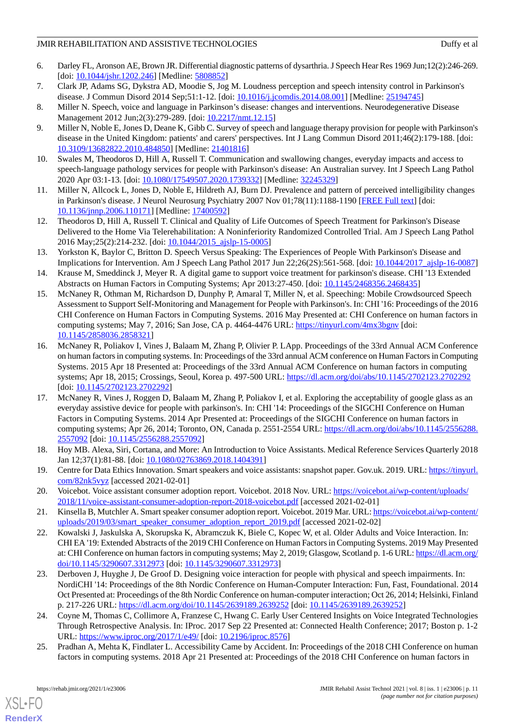- <span id="page-10-0"></span>6. Darley FL, Aronson AE, Brown JR. Differential diagnostic patterns of dysarthria. J Speech Hear Res 1969 Jun;12(2):246-269. [doi: [10.1044/jshr.1202.246\]](http://dx.doi.org/10.1044/jshr.1202.246) [Medline: [5808852](http://www.ncbi.nlm.nih.gov/entrez/query.fcgi?cmd=Retrieve&db=PubMed&list_uids=5808852&dopt=Abstract)]
- <span id="page-10-1"></span>7. Clark JP, Adams SG, Dykstra AD, Moodie S, Jog M. Loudness perception and speech intensity control in Parkinson's disease. J Commun Disord 2014 Sep;51:1-12. [doi: [10.1016/j.jcomdis.2014.08.001\]](http://dx.doi.org/10.1016/j.jcomdis.2014.08.001) [Medline: [25194745](http://www.ncbi.nlm.nih.gov/entrez/query.fcgi?cmd=Retrieve&db=PubMed&list_uids=25194745&dopt=Abstract)]
- <span id="page-10-3"></span><span id="page-10-2"></span>8. Miller N. Speech, voice and language in Parkinson's disease: changes and interventions. Neurodegenerative Disease Management 2012 Jun;2(3):279-289. [doi: [10.2217/nmt.12.15](http://dx.doi.org/10.2217/nmt.12.15)]
- 9. Miller N, Noble E, Jones D, Deane K, Gibb C. Survey of speech and language therapy provision for people with Parkinson's disease in the United Kingdom: patients' and carers' perspectives. Int J Lang Commun Disord 2011;46(2):179-188. [doi: [10.3109/13682822.2010.484850\]](http://dx.doi.org/10.3109/13682822.2010.484850) [Medline: [21401816\]](http://www.ncbi.nlm.nih.gov/entrez/query.fcgi?cmd=Retrieve&db=PubMed&list_uids=21401816&dopt=Abstract)
- <span id="page-10-5"></span><span id="page-10-4"></span>10. Swales M, Theodoros D, Hill A, Russell T. Communication and swallowing changes, everyday impacts and access to speech-language pathology services for people with Parkinson's disease: An Australian survey. Int J Speech Lang Pathol 2020 Apr 03:1-13. [doi: [10.1080/17549507.2020.1739332\]](http://dx.doi.org/10.1080/17549507.2020.1739332) [Medline: [32245329\]](http://www.ncbi.nlm.nih.gov/entrez/query.fcgi?cmd=Retrieve&db=PubMed&list_uids=32245329&dopt=Abstract)
- <span id="page-10-6"></span>11. Miller N, Allcock L, Jones D, Noble E, Hildreth AJ, Burn DJ. Prevalence and pattern of perceived intelligibility changes in Parkinson's disease. J Neurol Neurosurg Psychiatry 2007 Nov 01;78(11):1188-1190 [\[FREE Full text](http://europepmc.org/abstract/MED/17400592)] [doi: [10.1136/jnnp.2006.110171\]](http://dx.doi.org/10.1136/jnnp.2006.110171) [Medline: [17400592](http://www.ncbi.nlm.nih.gov/entrez/query.fcgi?cmd=Retrieve&db=PubMed&list_uids=17400592&dopt=Abstract)]
- <span id="page-10-7"></span>12. Theodoros D, Hill A, Russell T. Clinical and Quality of Life Outcomes of Speech Treatment for Parkinson's Disease Delivered to the Home Via Telerehabilitation: A Noninferiority Randomized Controlled Trial. Am J Speech Lang Pathol 2016 May;25(2):214-232. [doi: [10.1044/2015\\_ajslp-15-0005](http://dx.doi.org/10.1044/2015_ajslp-15-0005)]
- <span id="page-10-8"></span>13. Yorkston K, Baylor C, Britton D. Speech Versus Speaking: The Experiences of People With Parkinson's Disease and Implications for Intervention. Am J Speech Lang Pathol 2017 Jun 22;26(2S):561-568. [doi: [10.1044/2017\\_ajslp-16-0087](http://dx.doi.org/10.1044/2017_ajslp-16-0087)]
- <span id="page-10-9"></span>14. Krause M, Smeddinck J, Meyer R. A digital game to support voice treatment for parkinson's disease. CHI '13 Extended Abstracts on Human Factors in Computing Systems; Apr 2013:27-450. [doi: [10.1145/2468356.2468435\]](http://dx.doi.org/10.1145/2468356.2468435)
- <span id="page-10-10"></span>15. McNaney R, Othman M, Richardson D, Dunphy P, Amaral T, Miller N, et al. Speeching: Mobile Crowdsourced Speech Assessment to Support Self-Monitoring and Management for People with Parkinson's. In: CHI '16: Proceedings of the 2016 CHI Conference on Human Factors in Computing Systems. 2016 May Presented at: CHI Conference on human factors in computing systems; May 7, 2016; San Jose, CA p. 4464-4476 URL:<https://tinyurl.com/4mx3bgnv> [doi: [10.1145/2858036.2858321](http://dx.doi.org/10.1145/2858036.2858321)]
- <span id="page-10-11"></span>16. McNaney R, Poliakov I, Vines J, Balaam M, Zhang P, Olivier P. LApp. Proceedings of the 33rd Annual ACM Conference on human factors in computing systems. In: Proceedings of the 33rd annual ACM conference on Human Factors in Computing Systems. 2015 Apr 18 Presented at: Proceedings of the 33rd Annual ACM Conference on human factors in computing systems; Apr 18, 2015; Crossings, Seoul, Korea p. 497-500 URL: <https://dl.acm.org/doi/abs/10.1145/2702123.2702292> [doi: [10.1145/2702123.2702292\]](http://dx.doi.org/10.1145/2702123.2702292)
- <span id="page-10-12"></span>17. McNaney R, Vines J, Roggen D, Balaam M, Zhang P, Poliakov I, et al. Exploring the acceptability of google glass as an everyday assistive device for people with parkinson's. In: CHI '14: Proceedings of the SIGCHI Conference on Human Factors in Computing Systems. 2014 Apr Presented at: Proceedings of the SIGCHI Conference on human factors in computing systems; Apr 26, 2014; Toronto, ON, Canada p. 2551-2554 URL: [https://dl.acm.org/doi/abs/10.1145/2556288.](https://dl.acm.org/doi/abs/10.1145/2556288.2557092) [2557092](https://dl.acm.org/doi/abs/10.1145/2556288.2557092) [doi: [10.1145/2556288.2557092](http://dx.doi.org/10.1145/2556288.2557092)]
- <span id="page-10-14"></span><span id="page-10-13"></span>18. Hoy MB. Alexa, Siri, Cortana, and More: An Introduction to Voice Assistants. Medical Reference Services Quarterly 2018 Jan 12;37(1):81-88. [doi: [10.1080/02763869.2018.1404391\]](http://dx.doi.org/10.1080/02763869.2018.1404391)
- <span id="page-10-16"></span><span id="page-10-15"></span>19. Centre for Data Ethics Innovation. Smart speakers and voice assistants: snapshot paper. Gov.uk. 2019. URL: [https://tinyurl.](https://tinyurl.com/82nk5vyz) [com/82nk5vyz](https://tinyurl.com/82nk5vyz) [accessed 2021-02-01]
- 20. Voicebot. Voice assistant consumer adoption report. Voicebot. 2018 Nov. URL: [https://voicebot.ai/wp-content/uploads/](https://voicebot.ai/wp-content/uploads/2018/11/voice-assistant-consumer-adoption-report-2018-voicebot.pdf) [2018/11/voice-assistant-consumer-adoption-report-2018-voicebot.pdf](https://voicebot.ai/wp-content/uploads/2018/11/voice-assistant-consumer-adoption-report-2018-voicebot.pdf) [accessed 2021-02-01]
- <span id="page-10-17"></span>21. Kinsella B, Mutchler A. Smart speaker consumer adoption report. Voicebot. 2019 Mar. URL: [https://voicebot.ai/wp-content/](https://voicebot.ai/wp-content/uploads/2019/03/smart_speaker_consumer_adoption_report_2019.pdf) [uploads/2019/03/smart\\_speaker\\_consumer\\_adoption\\_report\\_2019.pdf](https://voicebot.ai/wp-content/uploads/2019/03/smart_speaker_consumer_adoption_report_2019.pdf) [accessed 2021-02-02]
- 22. Kowalski J, Jaskulska A, Skorupska K, Abramczuk K, Biele C, Kopec W, et al. Older Adults and Voice Interaction. In: CHI EA '19: Extended Abstracts of the 2019 CHI Conference on Human Factors in Computing Systems. 2019 May Presented at: CHI Conference on human factors in computing systems; May 2, 2019; Glasgow, Scotland p. 1-6 URL: [https://dl.acm.org/](https://dl.acm.org/doi/10.1145/3290607.3312973) [doi/10.1145/3290607.3312973](https://dl.acm.org/doi/10.1145/3290607.3312973) [doi: [10.1145/3290607.3312973\]](http://dx.doi.org/10.1145/3290607.3312973)
- <span id="page-10-19"></span><span id="page-10-18"></span>23. Derboven J, Huyghe J, De Groof D. Designing voice interaction for people with physical and speech impairments. In: NordiCHI '14: Proceedings of the 8th Nordic Conference on Human-Computer Interaction: Fun, Fast, Foundational. 2014 Oct Presented at: Proceedings of the 8th Nordic Conference on human-computer interaction; Oct 26, 2014; Helsinki, Finland p. 217-226 URL: <https://dl.acm.org/doi/10.1145/2639189.2639252> [doi: [10.1145/2639189.2639252\]](http://dx.doi.org/10.1145/2639189.2639252)
- 24. Coyne M, Thomas C, Collimore A, Franzese C, Hwang C. Early User Centered Insights on Voice Integrated Technologies Through Retrospective Analysis. In: IProc. 2017 Sep 22 Presented at: Connected Health Conference; 2017; Boston p. 1-2 URL: <https://www.iproc.org/2017/1/e49/> [doi: [10.2196/iproc.8576](http://dx.doi.org/10.2196/iproc.8576)]
- 25. Pradhan A, Mehta K, Findlater L. Accessibility Came by Accident. In: Proceedings of the 2018 CHI Conference on human factors in computing systems. 2018 Apr 21 Presented at: Proceedings of the 2018 CHI Conference on human factors in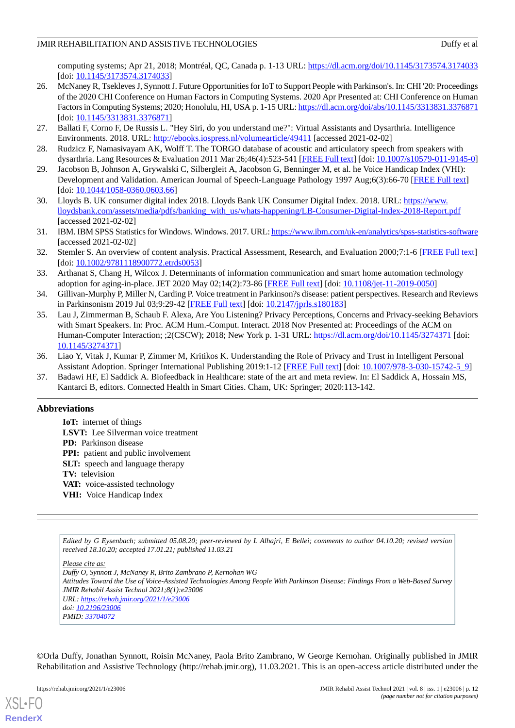computing systems; Apr 21, 2018; Montréal, QC, Canada p. 1-13 URL:<https://dl.acm.org/doi/10.1145/3173574.3174033> [doi: [10.1145/3173574.3174033\]](http://dx.doi.org/10.1145/3173574.3174033)

- <span id="page-11-0"></span>26. McNaney R, Tsekleves J, Synnott J. Future Opportunities for IoT to Support People with Parkinson's. In: CHI '20: Proceedings of the 2020 CHI Conference on Human Factors in Computing Systems. 2020 Apr Presented at: CHI Conference on Human Factors in Computing Systems; 2020; Honolulu, HI, USA p. 1-15 URL:<https://dl.acm.org/doi/abs/10.1145/3313831.3376871> [doi: [10.1145/3313831.3376871\]](http://dx.doi.org/10.1145/3313831.3376871)
- <span id="page-11-2"></span><span id="page-11-1"></span>27. Ballati F, Corno F, De Russis L. "Hey Siri, do you understand me?": Virtual Assistants and Dysarthria. Intelligence Environments. 2018. URL: <http://ebooks.iospress.nl/volumearticle/49411> [accessed 2021-02-02]
- <span id="page-11-3"></span>28. Rudzicz F, Namasivayam AK, Wolff T. The TORGO database of acoustic and articulatory speech from speakers with dysarthria. Lang Resources & Evaluation 2011 Mar 26;46(4):523-541 [\[FREE Full text\]](https://www.researchgate.net/publication/225446742_The_TORGO_database_of_acoustic_and_articulatory_speech_from_speakers_with_dysarthria) [doi: [10.1007/s10579-011-9145-0](http://dx.doi.org/10.1007/s10579-011-9145-0)]
- <span id="page-11-4"></span>29. Jacobson B, Johnson A, Grywalski C, Silbergleit A, Jacobson G, Benninger M, et al. he Voice Handicap Index (VHI): Development and Validation. American Journal of Speech-Language Pathology 1997 Aug;6(3):66-70 [\[FREE Full text\]](https://pubs.asha.org/doi/10.1044/1058-0360.0603.66) [doi: [10.1044/1058-0360.0603.66\]](http://dx.doi.org/10.1044/1058-0360.0603.66)
- <span id="page-11-5"></span>30. Lloyds B. UK consumer digital index 2018. Lloyds Bank UK Consumer Digital Index. 2018. URL: [https://www.](https://www.lloydsbank.com/assets/media/pdfs/banking_with_us/whats-happening/LB-Consumer-Digital-Index-2018-Report.pdf) [lloydsbank.com/assets/media/pdfs/banking\\_with\\_us/whats-happening/LB-Consumer-Digital-Index-2018-Report.pdf](https://www.lloydsbank.com/assets/media/pdfs/banking_with_us/whats-happening/LB-Consumer-Digital-Index-2018-Report.pdf) [accessed 2021-02-02]
- <span id="page-11-6"></span>31. IBM. IBM SPSS Statistics for Windows. Windows. 2017. URL:<https://www.ibm.com/uk-en/analytics/spss-statistics-software> [accessed 2021-02-02]
- <span id="page-11-7"></span>32. Stemler S. An overview of content analysis. Practical Assessment, Research, and Evaluation 2000;7:1-6 [\[FREE Full text\]](https://scholarworks.umass.edu/pare/vol7/iss1/17/) [doi: [10.1002/9781118900772.etrds0053](http://dx.doi.org/10.1002/9781118900772.etrds0053)]
- <span id="page-11-9"></span><span id="page-11-8"></span>33. Arthanat S, Chang H, Wilcox J. Determinants of information communication and smart home automation technology adoption for aging-in-place. JET 2020 May 02;14(2):73-86 [\[FREE Full text\]](https://www.semanticscholar.org/paper/Determinants-of-information-communication-and-smart-Arthanat-Chang/1216b2b3e2fae3cb8606acf7dfc9af4c840f4c39) [doi: [10.1108/jet-11-2019-0050](http://dx.doi.org/10.1108/jet-11-2019-0050)]
- 34. Gillivan-Murphy P, Miller N, Carding P. Voice treatment in Parkinson?s disease: patient perspectives. Research and Reviews in Parkinsonism 2019 Jul 03;9:29-42 [[FREE Full text](https://www.dovepress.com/voice-treatment-in-parkinsonrsquos-disease-patient-perspectives-peer-reviewed-article-JPRLS)] [doi: [10.2147/jprls.s180183](http://dx.doi.org/10.2147/jprls.s180183)]
- <span id="page-11-10"></span>35. Lau J, Zimmerman B, Schaub F. Alexa, Are You Listening? Privacy Perceptions, Concerns and Privacy-seeking Behaviors with Smart Speakers. In: Proc. ACM Hum.-Comput. Interact. 2018 Nov Presented at: Proceedings of the ACM on Human-Computer Interaction; ;2(CSCW); 2018; New York p. 1-31 URL: <https://dl.acm.org/doi/10.1145/3274371> [doi: [10.1145/3274371\]](http://dx.doi.org/10.1145/3274371)
- <span id="page-11-11"></span>36. Liao Y, Vitak J, Kumar P, Zimmer M, Kritikos K. Understanding the Role of Privacy and Trust in Intelligent Personal Assistant Adoption. Springer International Publishing 2019:1-12 [\[FREE Full text\]](https://pearl.umd.edu/wp-content/uploads/2019/01/Liao_etal-2019-iconference.pdf) [doi: [10.1007/978-3-030-15742-5\\_9](http://dx.doi.org/10.1007/978-3-030-15742-5_9)]
- 37. Badawi HF, El Saddick A. Biofeedback in Healthcare: state of the art and meta review. In: El Saddick A, Hossain MS, Kantarci B, editors. Connected Health in Smart Cities. Cham, UK: Springer; 2020:113-142.

# **Abbreviations**

**IoT:** internet of things **LSVT:** Lee Silverman voice treatment **PD:** Parkinson disease **PPI:** patient and public involvement **SLT:** speech and language therapy **TV:** television **VAT:** voice-assisted technology **VHI:** Voice Handicap Index

*Edited by G Eysenbach; submitted 05.08.20; peer-reviewed by L Alhajri, E Bellei; comments to author 04.10.20; revised version received 18.10.20; accepted 17.01.21; published 11.03.21*

*Please cite as:*

*Duffy O, Synnott J, McNaney R, Brito Zambrano P, Kernohan WG Attitudes Toward the Use of Voice-Assisted Technologies Among People With Parkinson Disease: Findings From a Web-Based Survey JMIR Rehabil Assist Technol 2021;8(1):e23006 URL: <https://rehab.jmir.org/2021/1/e23006> doi: [10.2196/23006](http://dx.doi.org/10.2196/23006) PMID: [33704072](http://www.ncbi.nlm.nih.gov/entrez/query.fcgi?cmd=Retrieve&db=PubMed&list_uids=33704072&dopt=Abstract)*

©Orla Duffy, Jonathan Synnott, Roisin McNaney, Paola Brito Zambrano, W George Kernohan. Originally published in JMIR Rehabilitation and Assistive Technology (http://rehab.jmir.org), 11.03.2021. This is an open-access article distributed under the